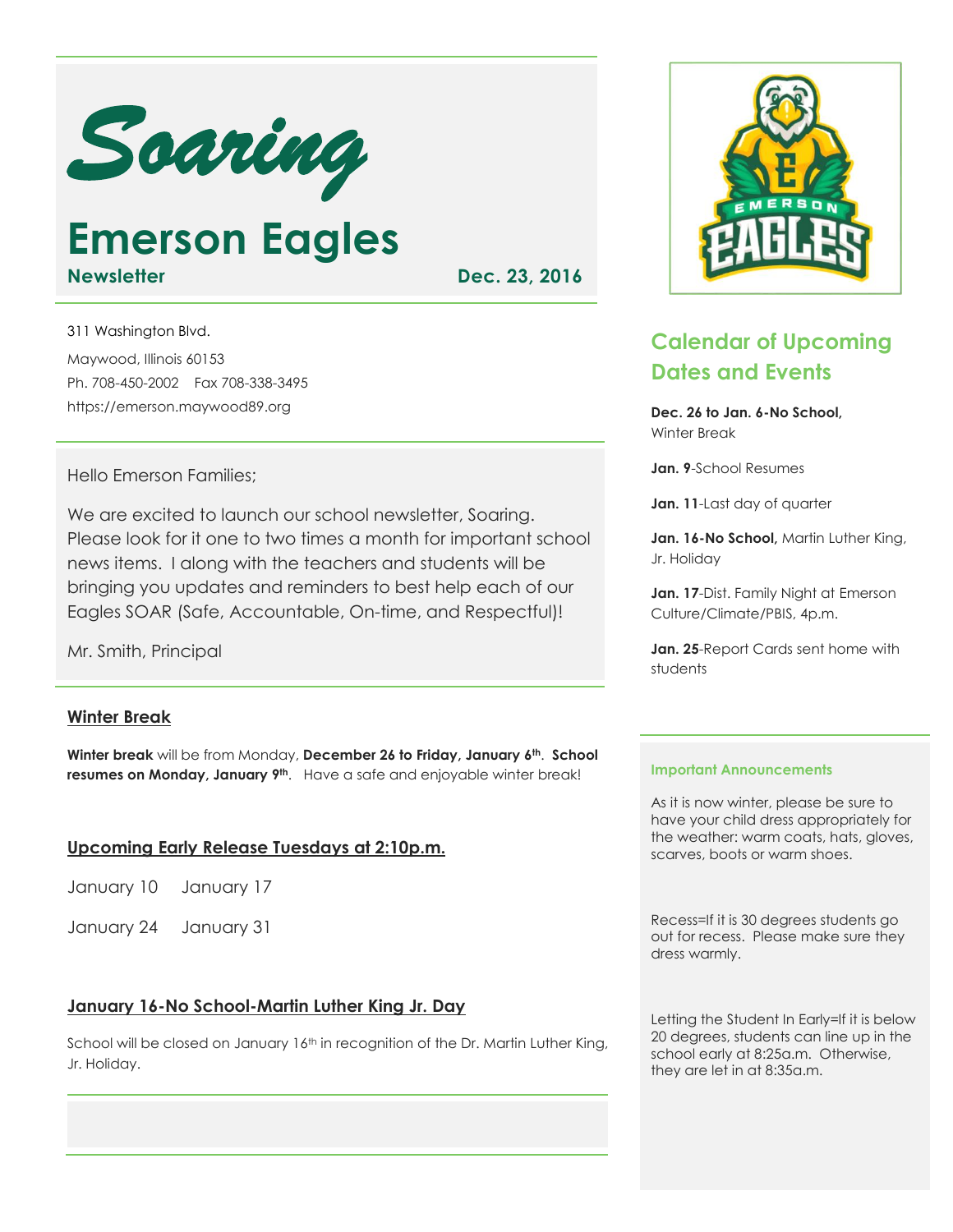

**Emerson Eagles Newsletter Dec. 23, 2016** 

311 Washington Blvd. Maywood, Illinois 60153 Ph. 708-450-2002 Fax 708-338-3495 https://emerson.maywood89.org

#### Hello Emerson Families;

We are excited to launch our school newsletter, Soaring. Please look for it one to two times a month for important school news items. I along with the teachers and students will be bringing you updates and reminders to best help each of our Eagles SOAR (Safe, Accountable, On-time, and Respectful)!

Mr. Smith, Principal

## **Winter Break**

**Winter break** will be from Monday, **December 26 to Friday, January 6th**. **School resumes on Monday, January 9th**. Have a safe and enjoyable winter break!

## **Upcoming Early Release Tuesdays at 2:10p.m.**

| January 10 | January 17 |
|------------|------------|
|------------|------------|

January 24 January 31

## **January 16-No School-Martin Luther King Jr. Day**

School will be closed on January 16<sup>th</sup> in recognition of the Dr. Martin Luther King, Jr. Holiday.



# **Calendar of Upcoming Dates and Events**

**Dec. 26 to Jan. 6-No School,** Winter Break

**Jan. 9**-School Resumes

**Jan. 11**-Last day of quarter

Jan. 16-No School, Martin Luther King, Jr. Holiday

**Jan. 17**-Dist. Family Night at Emerson Culture/Climate/PBIS, 4p.m.

**Jan. 25**-Report Cards sent home with students

#### **Important Announcements**

As it is now winter, please be sure to have your child dress appropriately for the weather: warm coats, hats, gloves, scarves, boots or warm shoes.

Recess=If it is 30 degrees students go out for recess. Please make sure they dress warmly.

Letting the Student In Early=If it is below 20 degrees, students can line up in the school early at 8:25a.m. Otherwise, they are let in at 8:35a.m.